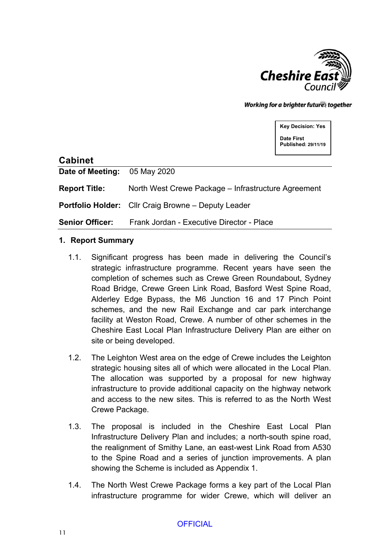

Working for a brighter futures together

**Key Decision: Yes Date First Published: 29/11/19**

### **Cabinet**

**Date of Meeting:** 05 May 2020

**Report Title:** North West Crewe Package – Infrastructure Agreement

**Portfolio Holder:** Cllr Craig Browne – Deputy Leader

**Senior Officer:** Frank Jordan - Executive Director - Place

#### **1. Report Summary**

- 1.1. Significant progress has been made in delivering the Council's strategic infrastructure programme. Recent years have seen the completion of schemes such as Crewe Green Roundabout, Sydney Road Bridge, Crewe Green Link Road, Basford West Spine Road, Alderley Edge Bypass, the M6 Junction 16 and 17 Pinch Point schemes, and the new Rail Exchange and car park interchange facility at Weston Road, Crewe. A number of other schemes in the Cheshire East Local Plan Infrastructure Delivery Plan are either on site or being developed.
- 1.2. The Leighton West area on the edge of Crewe includes the Leighton strategic housing sites all of which were allocated in the Local Plan. The allocation was supported by a proposal for new highway infrastructure to provide additional capacity on the highway network and access to the new sites. This is referred to as the North West Crewe Package.
- 1.3. The proposal is included in the Cheshire East Local Plan Infrastructure Delivery Plan and includes; a north-south spine road, the realignment of Smithy Lane, an east-west Link Road from A530 to the Spine Road and a series of junction improvements. A plan showing the Scheme is included as Appendix 1.
- 1.4. The North West Crewe Package forms a key part of the Local Plan infrastructure programme for wider Crewe, which will deliver an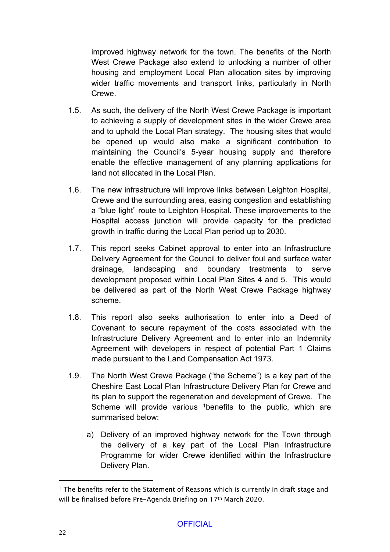improved highway network for the town. The benefits of the North West Crewe Package also extend to unlocking a number of other housing and employment Local Plan allocation sites by improving wider traffic movements and transport links, particularly in North Crewe.

- 1.5. As such, the delivery of the North West Crewe Package is important to achieving a supply of development sites in the wider Crewe area and to uphold the Local Plan strategy. The housing sites that would be opened up would also make a significant contribution to maintaining the Council's 5-year housing supply and therefore enable the effective management of any planning applications for land not allocated in the Local Plan.
- 1.6. The new infrastructure will improve links between Leighton Hospital, Crewe and the surrounding area, easing congestion and establishing a "blue light" route to Leighton Hospital. These improvements to the Hospital access junction will provide capacity for the predicted growth in traffic during the Local Plan period up to 2030.
- 1.7. This report seeks Cabinet approval to enter into an Infrastructure Delivery Agreement for the Council to deliver foul and surface water drainage, landscaping and boundary treatments to serve development proposed within Local Plan Sites 4 and 5. This would be delivered as part of the North West Crewe Package highway scheme.
- 1.8. This report also seeks authorisation to enter into a Deed of Covenant to secure repayment of the costs associated with the Infrastructure Delivery Agreement and to enter into an Indemnity Agreement with developers in respect of potential Part 1 Claims made pursuant to the Land Compensation Act 1973.
- 1.9. The North West Crewe Package ("the Scheme") is a key part of the Cheshire East Local Plan Infrastructure Delivery Plan for Crewe and its plan to support the regeneration and development of Crewe. The Scheme will provide various <sup>1</sup>benefits to the public, which are summarised below:
	- a) Delivery of an improved highway network for the Town through the delivery of a key part of the Local Plan Infrastructure Programme for wider Crewe identified within the Infrastructure Delivery Plan.

<sup>&</sup>lt;sup>1</sup> The benefits refer to the Statement of Reasons which is currently in draft stage and will be finalised before Pre-Agenda Briefing on 17<sup>th</sup> March 2020.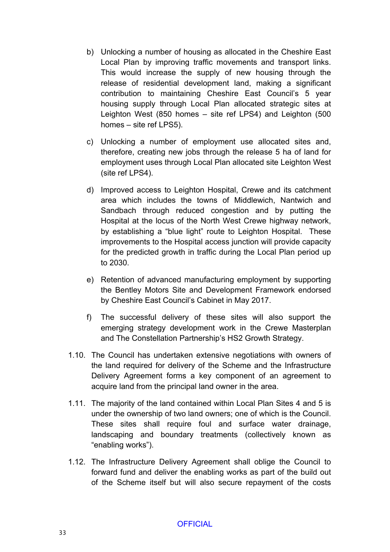- b) Unlocking a number of housing as allocated in the Cheshire East Local Plan by improving traffic movements and transport links. This would increase the supply of new housing through the release of residential development land, making a significant contribution to maintaining Cheshire East Council's 5 year housing supply through Local Plan allocated strategic sites at Leighton West (850 homes – site ref LPS4) and Leighton (500 homes – site ref LPS5).
- c) Unlocking a number of employment use allocated sites and, therefore, creating new jobs through the release 5 ha of land for employment uses through Local Plan allocated site Leighton West (site ref LPS4).
- d) Improved access to Leighton Hospital, Crewe and its catchment area which includes the towns of Middlewich, Nantwich and Sandbach through reduced congestion and by putting the Hospital at the locus of the North West Crewe highway network, by establishing a "blue light" route to Leighton Hospital. These improvements to the Hospital access junction will provide capacity for the predicted growth in traffic during the Local Plan period up to 2030.
- e) Retention of advanced manufacturing employment by supporting the Bentley Motors Site and Development Framework endorsed by Cheshire East Council's Cabinet in May 2017.
- f) The successful delivery of these sites will also support the emerging strategy development work in the Crewe Masterplan and The Constellation Partnership's HS2 Growth Strategy.
- 1.10. The Council has undertaken extensive negotiations with owners of the land required for delivery of the Scheme and the Infrastructure Delivery Agreement forms a key component of an agreement to acquire land from the principal land owner in the area.
- 1.11. The majority of the land contained within Local Plan Sites 4 and 5 is under the ownership of two land owners; one of which is the Council. These sites shall require foul and surface water drainage, landscaping and boundary treatments (collectively known as "enabling works").
- 1.12. The Infrastructure Delivery Agreement shall oblige the Council to forward fund and deliver the enabling works as part of the build out of the Scheme itself but will also secure repayment of the costs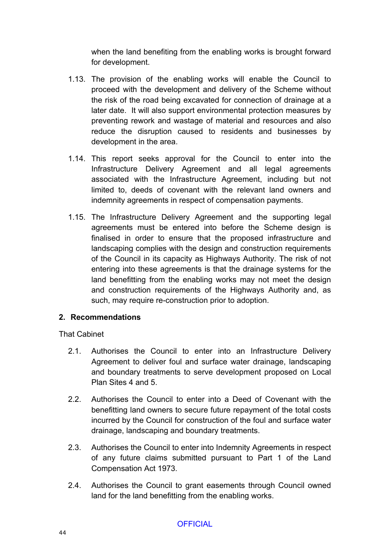when the land benefiting from the enabling works is brought forward for development.

- 1.13. The provision of the enabling works will enable the Council to proceed with the development and delivery of the Scheme without the risk of the road being excavated for connection of drainage at a later date. It will also support environmental protection measures by preventing rework and wastage of material and resources and also reduce the disruption caused to residents and businesses by development in the area.
- 1.14. This report seeks approval for the Council to enter into the Infrastructure Delivery Agreement and all legal agreements associated with the Infrastructure Agreement, including but not limited to, deeds of covenant with the relevant land owners and indemnity agreements in respect of compensation payments.
- 1.15. The Infrastructure Delivery Agreement and the supporting legal agreements must be entered into before the Scheme design is finalised in order to ensure that the proposed infrastructure and landscaping complies with the design and construction requirements of the Council in its capacity as Highways Authority. The risk of not entering into these agreements is that the drainage systems for the land benefitting from the enabling works may not meet the design and construction requirements of the Highways Authority and, as such, may require re-construction prior to adoption.

#### **2. Recommendations**

That Cabinet

- 2.1. Authorises the Council to enter into an Infrastructure Delivery Agreement to deliver foul and surface water drainage, landscaping and boundary treatments to serve development proposed on Local Plan Sites 4 and 5.
- 2.2. Authorises the Council to enter into a Deed of Covenant with the benefitting land owners to secure future repayment of the total costs incurred by the Council for construction of the foul and surface water drainage, landscaping and boundary treatments.
- 2.3. Authorises the Council to enter into Indemnity Agreements in respect of any future claims submitted pursuant to Part 1 of the Land Compensation Act 1973.
- 2.4. Authorises the Council to grant easements through Council owned land for the land benefitting from the enabling works.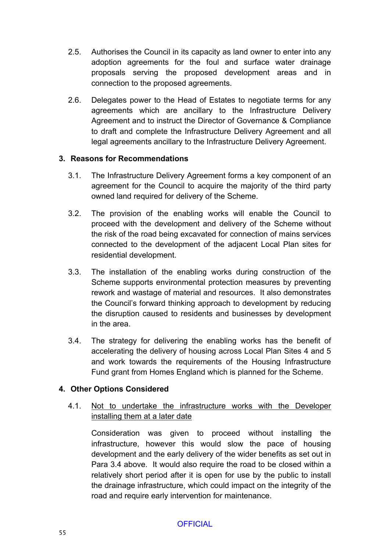- 2.5. Authorises the Council in its capacity as land owner to enter into any adoption agreements for the foul and surface water drainage proposals serving the proposed development areas and in connection to the proposed agreements.
- 2.6. Delegates power to the Head of Estates to negotiate terms for any agreements which are ancillary to the Infrastructure Delivery Agreement and to instruct the Director of Governance & Compliance to draft and complete the Infrastructure Delivery Agreement and all legal agreements ancillary to the Infrastructure Delivery Agreement.

### **3. Reasons for Recommendations**

- 3.1. The Infrastructure Delivery Agreement forms a key component of an agreement for the Council to acquire the majority of the third party owned land required for delivery of the Scheme.
- 3.2. The provision of the enabling works will enable the Council to proceed with the development and delivery of the Scheme without the risk of the road being excavated for connection of mains services connected to the development of the adjacent Local Plan sites for residential development.
- 3.3. The installation of the enabling works during construction of the Scheme supports environmental protection measures by preventing rework and wastage of material and resources. It also demonstrates the Council's forward thinking approach to development by reducing the disruption caused to residents and businesses by development in the area.
- 3.4. The strategy for delivering the enabling works has the benefit of accelerating the delivery of housing across Local Plan Sites 4 and 5 and work towards the requirements of the Housing Infrastructure Fund grant from Homes England which is planned for the Scheme.

# **4. Other Options Considered**

4.1. Not to undertake the infrastructure works with the Developer installing them at a later date

Consideration was given to proceed without installing the infrastructure, however this would slow the pace of housing development and the early delivery of the wider benefits as set out in Para 3.4 above. It would also require the road to be closed within a relatively short period after it is open for use by the public to install the drainage infrastructure, which could impact on the integrity of the road and require early intervention for maintenance.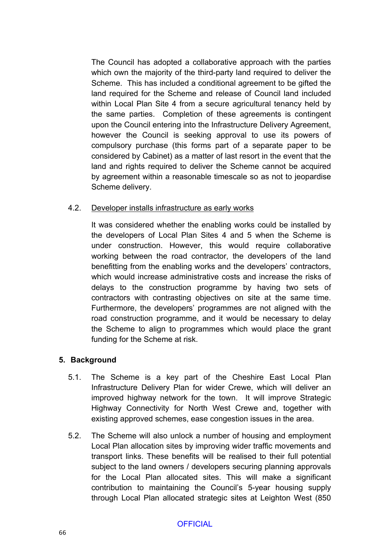The Council has adopted a collaborative approach with the parties which own the majority of the third-party land required to deliver the Scheme. This has included a conditional agreement to be gifted the land required for the Scheme and release of Council land included within Local Plan Site 4 from a secure agricultural tenancy held by the same parties. Completion of these agreements is contingent upon the Council entering into the Infrastructure Delivery Agreement, however the Council is seeking approval to use its powers of compulsory purchase (this forms part of a separate paper to be considered by Cabinet) as a matter of last resort in the event that the land and rights required to deliver the Scheme cannot be acquired by agreement within a reasonable timescale so as not to jeopardise Scheme delivery.

# 4.2. Developer installs infrastructure as early works

It was considered whether the enabling works could be installed by the developers of Local Plan Sites 4 and 5 when the Scheme is under construction. However, this would require collaborative working between the road contractor, the developers of the land benefitting from the enabling works and the developers' contractors, which would increase administrative costs and increase the risks of delays to the construction programme by having two sets of contractors with contrasting objectives on site at the same time. Furthermore, the developers' programmes are not aligned with the road construction programme, and it would be necessary to delay the Scheme to align to programmes which would place the grant funding for the Scheme at risk.

# **5. Background**

- 5.1. The Scheme is a key part of the Cheshire East Local Plan Infrastructure Delivery Plan for wider Crewe, which will deliver an improved highway network for the town. It will improve Strategic Highway Connectivity for North West Crewe and, together with existing approved schemes, ease congestion issues in the area.
- 5.2. The Scheme will also unlock a number of housing and employment Local Plan allocation sites by improving wider traffic movements and transport links. These benefits will be realised to their full potential subject to the land owners / developers securing planning approvals for the Local Plan allocated sites. This will make a significant contribution to maintaining the Council's 5-year housing supply through Local Plan allocated strategic sites at Leighton West (850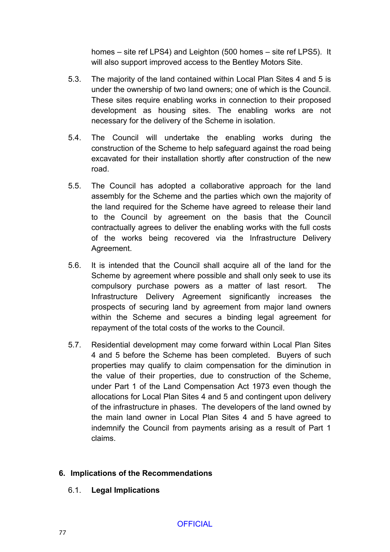homes – site ref LPS4) and Leighton (500 homes – site ref LPS5). It will also support improved access to the Bentley Motors Site.

- 5.3. The majority of the land contained within Local Plan Sites 4 and 5 is under the ownership of two land owners; one of which is the Council. These sites require enabling works in connection to their proposed development as housing sites. The enabling works are not necessary for the delivery of the Scheme in isolation.
- 5.4. The Council will undertake the enabling works during the construction of the Scheme to help safeguard against the road being excavated for their installation shortly after construction of the new road.
- 5.5. The Council has adopted a collaborative approach for the land assembly for the Scheme and the parties which own the majority of the land required for the Scheme have agreed to release their land to the Council by agreement on the basis that the Council contractually agrees to deliver the enabling works with the full costs of the works being recovered via the Infrastructure Delivery Agreement.
- 5.6. It is intended that the Council shall acquire all of the land for the Scheme by agreement where possible and shall only seek to use its compulsory purchase powers as a matter of last resort. The Infrastructure Delivery Agreement significantly increases the prospects of securing land by agreement from major land owners within the Scheme and secures a binding legal agreement for repayment of the total costs of the works to the Council.
- 5.7. Residential development may come forward within Local Plan Sites 4 and 5 before the Scheme has been completed. Buyers of such properties may qualify to claim compensation for the diminution in the value of their properties, due to construction of the Scheme, under Part 1 of the Land Compensation Act 1973 even though the allocations for Local Plan Sites 4 and 5 and contingent upon delivery of the infrastructure in phases. The developers of the land owned by the main land owner in Local Plan Sites 4 and 5 have agreed to indemnify the Council from payments arising as a result of Part 1 claims.

# **6. Implications of the Recommendations**

6.1. **Legal Implications**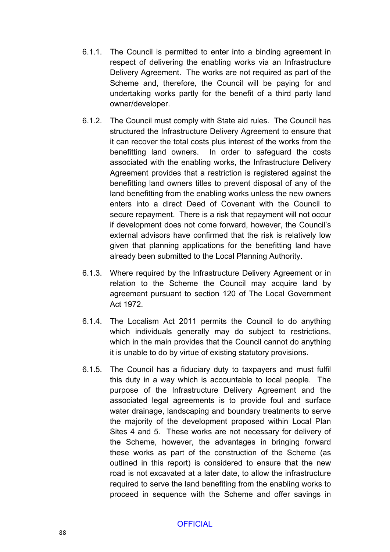- 6.1.1. The Council is permitted to enter into a binding agreement in respect of delivering the enabling works via an Infrastructure Delivery Agreement. The works are not required as part of the Scheme and, therefore, the Council will be paying for and undertaking works partly for the benefit of a third party land owner/developer.
- 6.1.2. The Council must comply with State aid rules. The Council has structured the Infrastructure Delivery Agreement to ensure that it can recover the total costs plus interest of the works from the benefitting land owners. In order to safeguard the costs associated with the enabling works, the Infrastructure Delivery Agreement provides that a restriction is registered against the benefitting land owners titles to prevent disposal of any of the land benefitting from the enabling works unless the new owners enters into a direct Deed of Covenant with the Council to secure repayment. There is a risk that repayment will not occur if development does not come forward, however, the Council's external advisors have confirmed that the risk is relatively low given that planning applications for the benefitting land have already been submitted to the Local Planning Authority.
- 6.1.3. Where required by the Infrastructure Delivery Agreement or in relation to the Scheme the Council may acquire land by agreement pursuant to section 120 of The Local Government Act 1972.
- 6.1.4. The Localism Act 2011 permits the Council to do anything which individuals generally may do subject to restrictions, which in the main provides that the Council cannot do anything it is unable to do by virtue of existing statutory provisions.
- 6.1.5. The Council has a fiduciary duty to taxpayers and must fulfil this duty in a way which is accountable to local people. The purpose of the Infrastructure Delivery Agreement and the associated legal agreements is to provide foul and surface water drainage, landscaping and boundary treatments to serve the majority of the development proposed within Local Plan Sites 4 and 5. These works are not necessary for delivery of the Scheme, however, the advantages in bringing forward these works as part of the construction of the Scheme (as outlined in this report) is considered to ensure that the new road is not excavated at a later date, to allow the infrastructure required to serve the land benefiting from the enabling works to proceed in sequence with the Scheme and offer savings in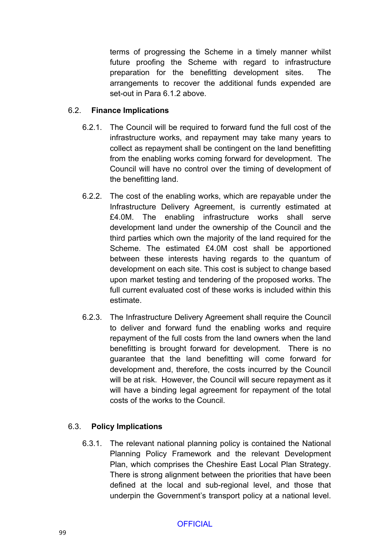terms of progressing the Scheme in a timely manner whilst future proofing the Scheme with regard to infrastructure preparation for the benefitting development sites. The arrangements to recover the additional funds expended are set-out in Para 6.1.2 above.

# 6.2. **Finance Implications**

- 6.2.1. The Council will be required to forward fund the full cost of the infrastructure works, and repayment may take many years to collect as repayment shall be contingent on the land benefitting from the enabling works coming forward for development. The Council will have no control over the timing of development of the benefitting land.
- 6.2.2. The cost of the enabling works, which are repayable under the Infrastructure Delivery Agreement, is currently estimated at £4.0M. The enabling infrastructure works shall serve development land under the ownership of the Council and the third parties which own the majority of the land required for the Scheme. The estimated £4.0M cost shall be apportioned between these interests having regards to the quantum of development on each site. This cost is subject to change based upon market testing and tendering of the proposed works. The full current evaluated cost of these works is included within this estimate.
- 6.2.3. The Infrastructure Delivery Agreement shall require the Council to deliver and forward fund the enabling works and require repayment of the full costs from the land owners when the land benefitting is brought forward for development. There is no guarantee that the land benefitting will come forward for development and, therefore, the costs incurred by the Council will be at risk. However, the Council will secure repayment as it will have a binding legal agreement for repayment of the total costs of the works to the Council.

# 6.3. **Policy Implications**

6.3.1. The relevant national planning policy is contained the National Planning Policy Framework and the relevant Development Plan, which comprises the Cheshire East Local Plan Strategy. There is strong alignment between the priorities that have been defined at the local and sub-regional level, and those that underpin the Government's transport policy at a national level.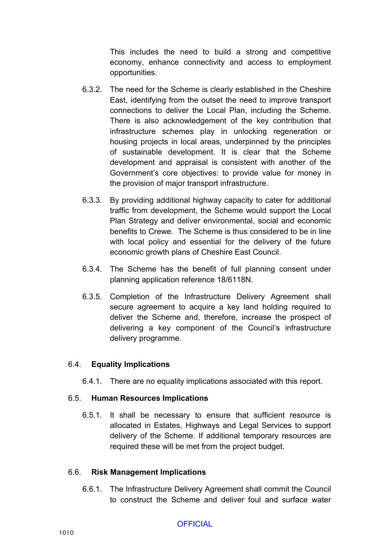This includes the need to build a strong and competitive economy, enhance connectivity and access to employment opportunities.

- 6.3.2. The need for the Scheme is clearly established in the Cheshire East, identifying from the outset the need to improve transport connections to deliver the Local Plan, including the Scheme. There is also acknowledgement of the key contribution that infrastructure schemes play in unlocking regeneration or housing projects in local areas, underpinned by the principles of sustainable development. It is clear that the Scheme development and appraisal is consistent with another of the Government's core objectives: to provide value for money in the provision of major transport infrastructure.
- 6.3.3. By providing additional highway capacity to cater for additional traffic from development, the Scheme would support the Local Plan Strategy and deliver environmental, social and economic benefits to Crewe. The Scheme is thus considered to be in line with local policy and essential for the delivery of the future economic growth plans of Cheshire East Council.
- 6.3.4. The Scheme has the benefit of full planning consent under planning application reference 18/6118N.
- 6.3.5. Completion of the Infrastructure Delivery Agreement shall secure agreement to acquire a key land holding required to deliver the Scheme and, therefore, increase the prospect of delivering a key component of the Council's infrastructure delivery programme.

#### 6.4. **Equality Implications**

6.4.1. There are no equality implications associated with this report.

# 6.5. **Human Resources Implications**

6.5.1. It shall be necessary to ensure that sufficient resource is allocated in Estates, Highways and Legal Services to support delivery of the Scheme. If additional temporary resources are required these will be met from the project budget.

# 6.6. **Risk Management Implications**

6.6.1. The Infrastructure Delivery Agreement shall commit the Council to construct the Scheme and deliver foul and surface water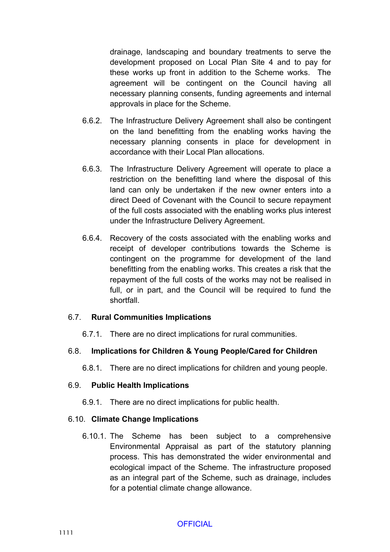drainage, landscaping and boundary treatments to serve the development proposed on Local Plan Site 4 and to pay for these works up front in addition to the Scheme works. The agreement will be contingent on the Council having all necessary planning consents, funding agreements and internal approvals in place for the Scheme.

- 6.6.2. The Infrastructure Delivery Agreement shall also be contingent on the land benefitting from the enabling works having the necessary planning consents in place for development in accordance with their Local Plan allocations.
- 6.6.3. The Infrastructure Delivery Agreement will operate to place a restriction on the benefitting land where the disposal of this land can only be undertaken if the new owner enters into a direct Deed of Covenant with the Council to secure repayment of the full costs associated with the enabling works plus interest under the Infrastructure Delivery Agreement.
- 6.6.4. Recovery of the costs associated with the enabling works and receipt of developer contributions towards the Scheme is contingent on the programme for development of the land benefitting from the enabling works. This creates a risk that the repayment of the full costs of the works may not be realised in full, or in part, and the Council will be required to fund the shortfall.

#### 6.7. **Rural Communities Implications**

6.7.1. There are no direct implications for rural communities.

# 6.8. **Implications for Children & Young People/Cared for Children**

6.8.1. There are no direct implications for children and young people.

#### 6.9. **Public Health Implications**

6.9.1. There are no direct implications for public health.

#### 6.10. **Climate Change Implications**

6.10.1. The Scheme has been subject to a comprehensive Environmental Appraisal as part of the statutory planning process. This has demonstrated the wider environmental and ecological impact of the Scheme. The infrastructure proposed as an integral part of the Scheme, such as drainage, includes for a potential climate change allowance.